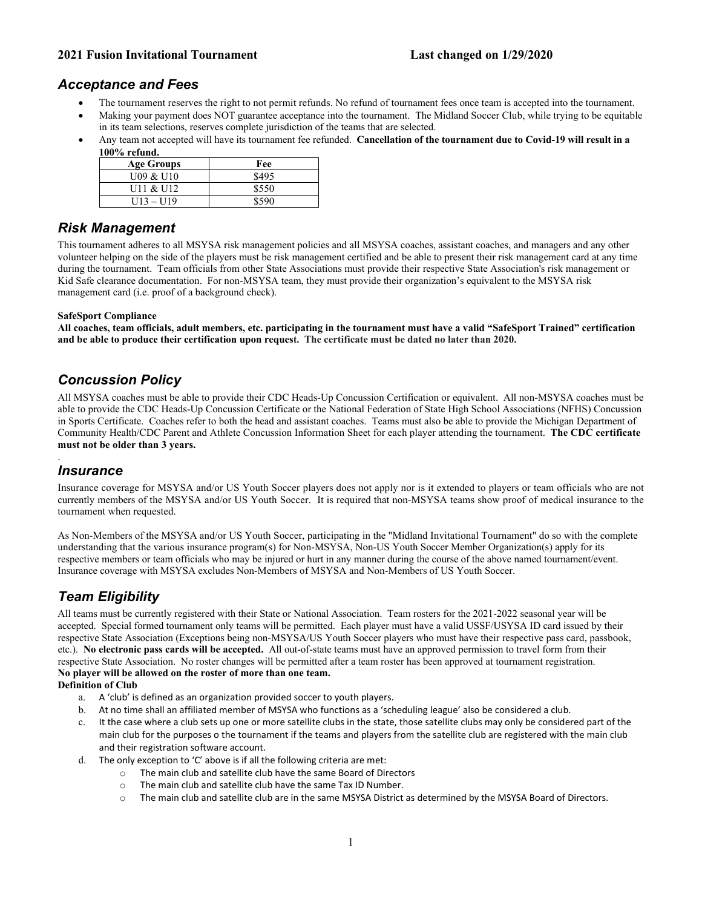## *Acceptance and Fees*

- The tournament reserves the right to not permit refunds. No refund of tournament fees once team is accepted into the tournament.
- Making your payment does NOT guarantee acceptance into the tournament. The Midland Soccer Club, while trying to be equitable in its team selections, reserves complete jurisdiction of the teams that are selected.
- Any team not accepted will have its tournament fee refunded. **Cancellation of the tournament due to Covid-19 will result in a 100% refund.**

| <b>Age Groups</b> | Fee   |
|-------------------|-------|
| U09 & U10         | \$495 |
| U11 & U12         | \$550 |
| $U13 - U19$       | 8590  |

## *Risk Management*

This tournament adheres to all MSYSA risk management policies and all MSYSA coaches, assistant coaches, and managers and any other volunteer helping on the side of the players must be risk management certified and be able to present their risk management card at any time during the tournament. Team officials from other State Associations must provide their respective State Association's risk management or Kid Safe clearance documentation. For non-MSYSA team, they must provide their organization's equivalent to the MSYSA risk management card (i.e. proof of a background check).

#### **SafeSport Compliance**

**All coaches, team officials, adult members, etc. participating in the tournament must have a valid "SafeSport Trained" certification and be able to produce their certification upon request. The certificate must be dated no later than 2020.**

## *Concussion Policy*

All MSYSA coaches must be able to provide their CDC Heads-Up Concussion Certification or equivalent. All non-MSYSA coaches must be able to provide the CDC Heads-Up Concussion Certificate or the National Federation of State High School Associations (NFHS) Concussion in Sports Certificate. Coaches refer to both the head and assistant coaches. Teams must also be able to provide the Michigan Department of Community Health/CDC Parent and Athlete Concussion Information Sheet for each player attending the tournament. **The CDC certificate must not be older than 3 years.** 

#### . *Insurance*

Insurance coverage for MSYSA and/or US Youth Soccer players does not apply nor is it extended to players or team officials who are not currently members of the MSYSA and/or US Youth Soccer. It is required that non-MSYSA teams show proof of medical insurance to the tournament when requested.

As Non-Members of the MSYSA and/or US Youth Soccer, participating in the "Midland Invitational Tournament" do so with the complete understanding that the various insurance program(s) for Non-MSYSA, Non-US Youth Soccer Member Organization(s) apply for its respective members or team officials who may be injured or hurt in any manner during the course of the above named tournament/event. Insurance coverage with MSYSA excludes Non-Members of MSYSA and Non-Members of US Youth Soccer.

# *Team Eligibility*

All teams must be currently registered with their State or National Association. Team rosters for the 2021-2022 seasonal year will be accepted. Special formed tournament only teams will be permitted. Each player must have a valid USSF/USYSA ID card issued by their respective State Association (Exceptions being non-MSYSA/US Youth Soccer players who must have their respective pass card, passbook, etc.). **No electronic pass cards will be accepted.** All out-of-state teams must have an approved permission to travel form from their respective State Association. No roster changes will be permitted after a team roster has been approved at tournament registration. **No player will be allowed on the roster of more than one team.** 

#### **Definition of Club**

- a. A 'club' is defined as an organization provided soccer to youth players.
- b. At no time shall an affiliated member of MSYSA who functions as a 'scheduling league' also be considered a club.
- c. It the case where a club sets up one or more satellite clubs in the state, those satellite clubs may only be considered part of the main club for the purposes o the tournament if the teams and players from the satellite club are registered with the main club and their registration software account.
- d. The only exception to 'C' above is if all the following criteria are met:
	- o The main club and satellite club have the same Board of Directors
	- o The main club and satellite club have the same Tax ID Number.
	- o The main club and satellite club are in the same MSYSA District as determined by the MSYSA Board of Directors.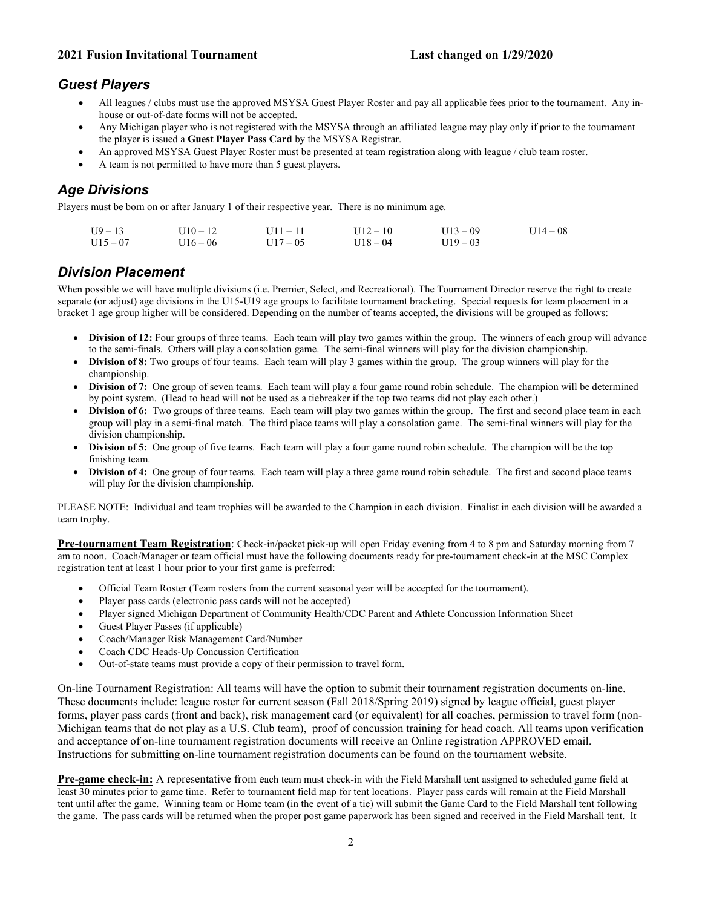#### **2021 Fusion Invitational Tournament**

#### **Last changed on 1/29/2020**

## *Guest Players*

- All leagues / clubs must use the approved MSYSA Guest Player Roster and pay all applicable fees prior to the tournament. Any inhouse or out-of-date forms will not be accepted.
- Any Michigan player who is not registered with the MSYSA through an affiliated league may play only if prior to the tournament the player is issued a **Guest Player Pass Card** by the MSYSA Registrar.
- An approved MSYSA Guest Player Roster must be presented at team registration along with league / club team roster.
- A team is not permitted to have more than 5 guest players.

## *Age Divisions*

Players must be born on or after January 1 of their respective year. There is no minimum age.

| $U9 - 13$  | $U10 - 12$ | $U11 - 11$ | $U12 - 10$ | $U13 - 09$ | $U14 - 08$ |
|------------|------------|------------|------------|------------|------------|
| $U15 - 07$ | $U16 - 06$ | $U17 - 05$ | $U18 - 04$ | $U19 - 03$ |            |

## *Division Placement*

When possible we will have multiple divisions (i.e. Premier, Select, and Recreational). The Tournament Director reserve the right to create separate (or adjust) age divisions in the U15-U19 age groups to facilitate tournament bracketing. Special requests for team placement in a bracket 1 age group higher will be considered. Depending on the number of teams accepted, the divisions will be grouped as follows:

- **Division of 12:** Four groups of three teams. Each team will play two games within the group. The winners of each group will advance to the semi-finals. Others will play a consolation game. The semi-final winners will play for the division championship.
- **Division of 8:** Two groups of four teams. Each team will play 3 games within the group. The group winners will play for the championship.
- **Division of 7:** One group of seven teams. Each team will play a four game round robin schedule. The champion will be determined by point system. (Head to head will not be used as a tiebreaker if the top two teams did not play each other.)
- **Division of 6:** Two groups of three teams. Each team will play two games within the group. The first and second place team in each group will play in a semi-final match. The third place teams will play a consolation game. The semi-final winners will play for the division championship.
- **Division of 5:** One group of five teams. Each team will play a four game round robin schedule. The champion will be the top finishing team.
- **Division of 4:** One group of four teams. Each team will play a three game round robin schedule. The first and second place teams will play for the division championship.

PLEASE NOTE: Individual and team trophies will be awarded to the Champion in each division. Finalist in each division will be awarded a team trophy.

**Pre-tournament Team Registration**: Check-in/packet pick-up will open Friday evening from 4 to 8 pm and Saturday morning from 7 am to noon. Coach/Manager or team official must have the following documents ready for pre-tournament check-in at the MSC Complex registration tent at least 1 hour prior to your first game is preferred:

- Official Team Roster (Team rosters from the current seasonal year will be accepted for the tournament).
- Player pass cards (electronic pass cards will not be accepted)
- Player signed Michigan Department of Community Health/CDC Parent and Athlete Concussion Information Sheet
- Guest Player Passes (if applicable)
- Coach/Manager Risk Management Card/Number
- Coach CDC Heads-Up Concussion Certification
- Out-of-state teams must provide a copy of their permission to travel form.

On-line Tournament Registration: All teams will have the option to submit their tournament registration documents on-line. These documents include: league roster for current season (Fall 2018/Spring 2019) signed by league official, guest player forms, player pass cards (front and back), risk management card (or equivalent) for all coaches, permission to travel form (non-Michigan teams that do not play as a U.S. Club team), proof of concussion training for head coach. All teams upon verification and acceptance of on-line tournament registration documents will receive an Online registration APPROVED email. Instructions for submitting on-line tournament registration documents can be found on the tournament website.

**Pre-game check-in:** A representative from each team must check-in with the Field Marshall tent assigned to scheduled game field at least 30 minutes prior to game time. Refer to tournament field map for tent locations. Player pass cards will remain at the Field Marshall tent until after the game. Winning team or Home team (in the event of a tie) will submit the Game Card to the Field Marshall tent following the game. The pass cards will be returned when the proper post game paperwork has been signed and received in the Field Marshall tent. It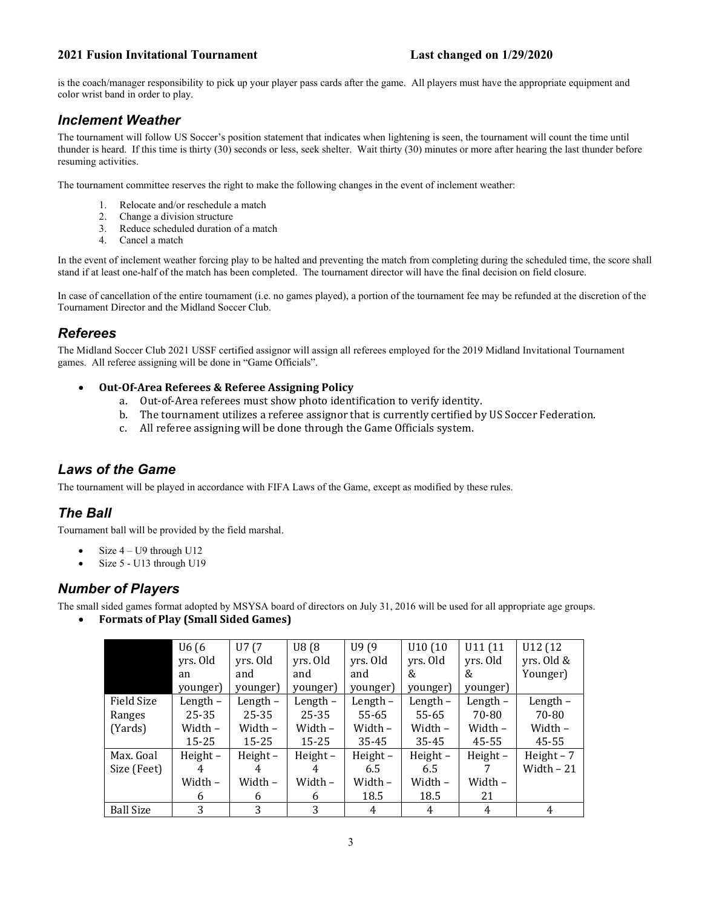is the coach/manager responsibility to pick up your player pass cards after the game. All players must have the appropriate equipment and color wrist band in order to play.

## *Inclement Weather*

The tournament will follow US Soccer's position statement that indicates when lightening is seen, the tournament will count the time until thunder is heard. If this time is thirty (30) seconds or less, seek shelter. Wait thirty (30) minutes or more after hearing the last thunder before resuming activities.

The tournament committee reserves the right to make the following changes in the event of inclement weather:

- 1. Relocate and/or reschedule a match
- 2. Change a division structure
- 3. Reduce scheduled duration of a match
- 4. Cancel a match

In the event of inclement weather forcing play to be halted and preventing the match from completing during the scheduled time, the score shall stand if at least one-half of the match has been completed. The tournament director will have the final decision on field closure.

In case of cancellation of the entire tournament (i.e. no games played), a portion of the tournament fee may be refunded at the discretion of the Tournament Director and the Midland Soccer Club.

## *Referees*

The Midland Soccer Club 2021 USSF certified assignor will assign all referees employed for the 2019 Midland Invitational Tournament games. All referee assigning will be done in "Game Officials".

- **Out-Of-Area Referees & Referee Assigning Policy**
	- a. Out-of-Area referees must show photo identification to verify identity.
	- b. The tournament utilizes a referee assignor that is currently certified by US Soccer Federation.<br>c. All referee assigning will be done through the Game Officials system.
	- All referee assigning will be done through the Game Officials system.

## *Laws of the Game*

The tournament will be played in accordance with FIFA Laws of the Game, except as modified by these rules.

## *The Ball*

Tournament ball will be provided by the field marshal.

- Size  $4 U9$  through  $U12$
- Size 5 U13 through U19

## *Number of Players*

The small sided games format adopted by MSYSA board of directors on July 31, 2016 will be used for all appropriate age groups.

• **Formats of Play (Small Sided Games)**

|                  | U6 (6      | U7 (7      | U8(8)      | U9(9)         | U10(10)    | U11 (11    | U12 (12)    |
|------------------|------------|------------|------------|---------------|------------|------------|-------------|
|                  | yrs. Old   | yrs. Old   | yrs. Old   | yrs. Old      | yrs. Old   | yrs. Old   | yrs. Old &  |
|                  | an         | and        | and        | and           | &          | &          | Younger)    |
|                  | younger)   | younger)   | younger)   | younger)      | younger)   | younger)   |             |
| Field Size       | Length $-$ | Length $-$ | Length $-$ | Length $-$    | Length $-$ | Length -   | Length -    |
| Ranges           | $25 - 35$  | $25 - 35$  | $25 - 35$  | 55-65         | 55-65      | 70-80      | 70-80       |
| (Yards)          | Width –    | Width -    | Width -    | Width –       | Width -    | Width -    | Width –     |
|                  | $15 - 25$  | $15 - 25$  | $15 - 25$  | 35-45         | 35-45      | 45-55      | 45-55       |
| Max. Goal        | Height $-$ | Height $-$ | $Height -$ | $Height -$    | Height-    | Height $-$ | Height $-7$ |
| Size (Feet)      | 4          |            | 4          | $6.5^{\circ}$ | 6.5        |            | Width $-21$ |
|                  | Width -    | Width -    | Width -    | Width -       | Width -    | Width -    |             |
|                  | 6          | 6          | 6          | 18.5          | 18.5       | 21         |             |
| <b>Ball Size</b> | 3          | 3          | 3          | 4             | 4          | 4          | 4           |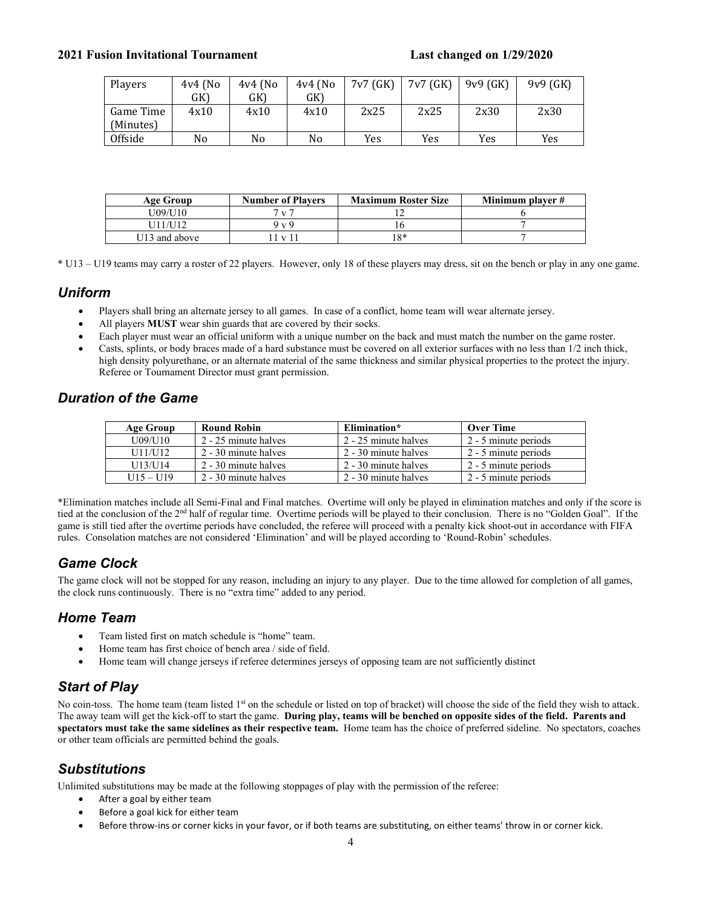| Players   | $4v4$ (No | $4v4$ (No | $4v4$ (No | 7v7 (GK) | 7v7(GK) | $9v9$ (GK) | $9v9$ (GK) |
|-----------|-----------|-----------|-----------|----------|---------|------------|------------|
|           | GK)       | GK)       | GK)       |          |         |            |            |
| Game Time | 4x10      | 4x10      | 4x10      | 2x25     | 2x25    | 2x30       | 2x30       |
| (Minutes) |           |           |           |          |         |            |            |
| Offside   | No        | No        | No        | Yes      | Yes     | Yes        | Yes        |

| Age Group     | <b>Number of Players</b> | <b>Maximum Roster Size</b> | Minimum player # |
|---------------|--------------------------|----------------------------|------------------|
| J09/U10       | 7 v 7                    |                            |                  |
| U11/U12       | 9 v 9                    | 10                         |                  |
| U13 and above | $1 \times 11$            | $18*$                      |                  |

\* U13 – U19 teams may carry a roster of 22 players. However, only 18 of these players may dress, sit on the bench or play in any one game.

### *Uniform*

- Players shall bring an alternate jersey to all games.In case of a conflict, home team will wear alternate jersey.
- All players **MUST** wear shin guards that are covered by their socks.
- Each player must wear an official uniform with a unique number on the back and must match the number on the game roster.
- Casts, splints, or body braces made of a hard substance must be covered on all exterior surfaces with no less than 1/2 inch thick, high density polyurethane, or an alternate material of the same thickness and similar physical properties to the protect the injury. Referee or Tournament Director must grant permission.

## *Duration of the Game*

| Age Group   | <b>Round Robin</b>   | Elimination*         | <b>Over Time</b>     |
|-------------|----------------------|----------------------|----------------------|
| U09/U10     | 2 - 25 minute halves | 2 - 25 minute halves | 2 - 5 minute periods |
| U11/U12     | 2 - 30 minute halves | 2 - 30 minute halves | 2 - 5 minute periods |
| U13/U14     | 2 - 30 minute halves | 2 - 30 minute halves | 2 - 5 minute periods |
| $U15 - U19$ | 2 - 30 minute halves | 2 - 30 minute halves | 2 - 5 minute periods |

\*Elimination matches include all Semi-Final and Final matches. Overtime will only be played in elimination matches and only if the score is tied at the conclusion of the 2nd half of regular time. Overtime periods will be played to their conclusion. There is no "Golden Goal". If the game is still tied after the overtime periods have concluded, the referee will proceed with a penalty kick shoot-out in accordance with FIFA rules. Consolation matches are not considered 'Elimination' and will be played according to 'Round-Robin' schedules.

## *Game Clock*

The game clock will not be stopped for any reason, including an injury to any player. Due to the time allowed for completion of all games, the clock runs continuously. There is no "extra time" added to any period.

## *Home Team*

- Team listed first on match schedule is "home" team.
- Home team has first choice of bench area / side of field.
- Home team will change jerseys if referee determines jerseys of opposing team are not sufficiently distinct

## *Start of Play*

No coin-toss. The home team (team listed 1<sup>st</sup> on the schedule or listed on top of bracket) will choose the side of the field they wish to attack. The away team will get the kick-off to start the game. **During play, teams will be benched on opposite sides of the field. Parents and spectators must take the same sidelines as their respective team.** Home team has the choice of preferred sideline. No spectators, coaches or other team officials are permitted behind the goals.

## *Substitutions*

Unlimited substitutions may be made at the following stoppages of play with the permission of the referee:

- After a goal by either team
- Before a goal kick for either team
- Before throw-ins or corner kicks in your favor, or if both teams are substituting, on either teams' throw in or corner kick.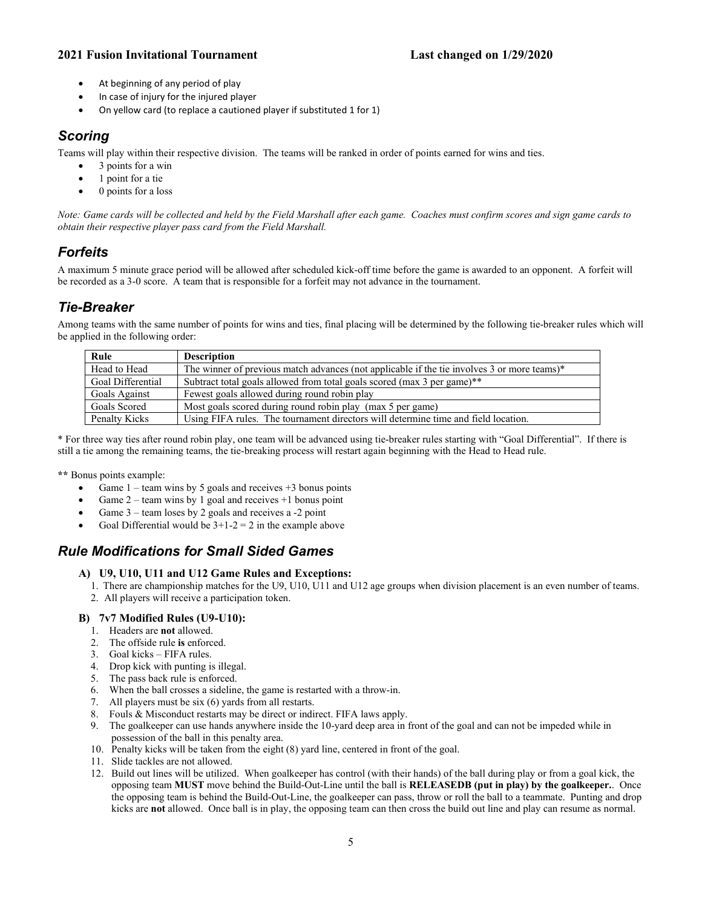- At beginning of any period of play
- In case of injury for the injured player
- On yellow card (to replace a cautioned player if substituted 1 for 1)

## *Scoring*

Teams will play within their respective division. The teams will be ranked in order of points earned for wins and ties.

- 3 points for a win
- 1 point for a tie
- 0 points for a loss

*Note: Game cards will be collected and held by the Field Marshall after each game. Coaches must confirm scores and sign game cards to obtain their respective player pass card from the Field Marshall.*

# *Forfeits*

A maximum 5 minute grace period will be allowed after scheduled kick-off time before the game is awarded to an opponent. A forfeit will be recorded as a 3-0 score. A team that is responsible for a forfeit may not advance in the tournament.

## *Tie-Breaker*

Among teams with the same number of points for wins and ties, final placing will be determined by the following tie-breaker rules which will be applied in the following order:

| Rule              | <b>Description</b>                                                                             |
|-------------------|------------------------------------------------------------------------------------------------|
| Head to Head      | The winner of previous match advances (not applicable if the tie involves 3 or more teams) $*$ |
| Goal Differential | Subtract total goals allowed from total goals scored (max 3 per game)**                        |
| Goals Against     | Fewest goals allowed during round robin play                                                   |
| Goals Scored      | Most goals scored during round robin play (max 5 per game)                                     |
| Penalty Kicks     | Using FIFA rules. The tournament directors will determine time and field location.             |

\* For three way ties after round robin play, one team will be advanced using tie-breaker rules starting with "Goal Differential". If there is still a tie among the remaining teams, the tie-breaking process will restart again beginning with the Head to Head rule.

**\*\*** Bonus points example:

- Game  $1$  team wins by 5 goals and receives  $+3$  bonus points
- Game  $2$  team wins by 1 goal and receives  $+1$  bonus point
- Game 3 team loses by 2 goals and receives a -2 point
- Goal Differential would be  $3+1-2=2$  in the example above

## *Rule Modifications for Small Sided Games*

#### **A) U9, U10, U11 and U12 Game Rules and Exceptions:**

- 1. There are championship matches for the U9, U10, U11 and U12 age groups when division placement is an even number of teams.
- 2. All players will receive a participation token.

#### **B) 7v7 Modified Rules (U9-U10):**

- 1. Headers are **not** allowed.
- 2. The offside rule **is** enforced.
- 3. Goal kicks FIFA rules.
- 4. Drop kick with punting is illegal.
- 5. The pass back rule is enforced.
- 6. When the ball crosses a sideline, the game is restarted with a throw-in.
- 7. All players must be six (6) yards from all restarts.
- 8. Fouls & Misconduct restarts may be direct or indirect. FIFA laws apply.
- 9. The goalkeeper can use hands anywhere inside the 10-yard deep area in front of the goal and can not be impeded while in possession of the ball in this penalty area.
- 10. Penalty kicks will be taken from the eight (8) yard line, centered in front of the goal.
- 11. Slide tackles are not allowed.
- 12. Build out lines will be utilized. When goalkeeper has control (with their hands) of the ball during play or from a goal kick, the opposing team **MUST** move behind the Build-Out-Line until the ball is **RELEASEDB (put in play) by the goalkeeper.**. Once the opposing team is behind the Build-Out-Line, the goalkeeper can pass, throw or roll the ball to a teammate. Punting and drop kicks are **not** allowed. Once ball is in play, the opposing team can then cross the build out line and play can resume as normal.